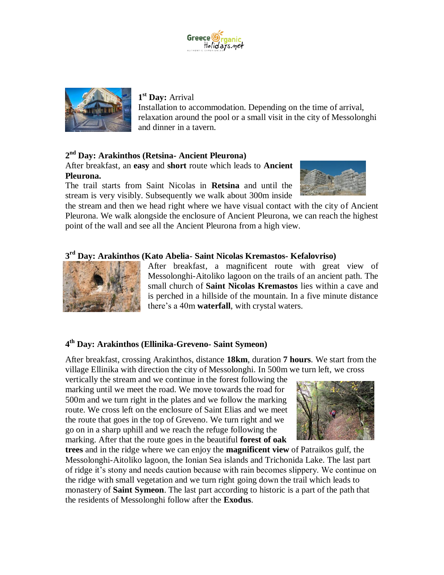



## **1 st Day:** Arrival

Installation to accommodation. Depending on the time of arrival, relaxation around the pool or a small visit in the city of Messolonghi and dinner in a tavern.

# **2 nd Day: Arakinthos (Retsina- Ancient Pleurona)**

After breakfast, an **easy** and **short** route which leads to **Ancient Pleurona.**

The trail starts from Saint Nicolas in **Retsina** and until the stream is very visibly. Subsequently we walk about 300m inside



the stream and then we head right where we have visual contact with the city of Ancient Pleurona. We walk alongside the enclosure of Ancient Pleurona, we can reach the highest point of the wall and see all the Ancient Pleurona from a high view.

## **3 rd Day: Arakinthos (Kato Abelia- Saint Nicolas Kremastos- Kefalovriso)**



After breakfast, a magnificent route with great view of Messolonghi-Aitoliko lagoon on the trails of an ancient path. The small church of **Saint Nicolas Kremastos** lies within a cave and is perched in a hillside of the mountain. In a five minute distance there's a 40m **waterfall**, with crystal waters.

# **4 th Day: Arakinthos (Ellinika-Greveno- Saint Symeon)**

After breakfast, crossing Arakinthos, distance **18km**, duration **7 hours**. We start from the village Ellinika with direction the city of Messolonghi. In 500m we turn left, we cross

vertically the stream and we continue in the forest following the marking until we meet the road. We move towards the road for 500m and we turn right in the plates and we follow the marking route. We cross left on the enclosure of Saint Elias and we meet the route that goes in the top of Greveno. We turn right and we go on in a sharp uphill and we reach the refuge following the marking. After that the route goes in the beautiful **forest of oak** 



**trees** and in the ridge where we can enjoy the **magnificent view** of Patraikos gulf, the Messolonghi-Aitoliko lagoon, the Ionian Sea islands and Trichonida Lake. The last part of ridge it's stony and needs caution because with rain becomes slippery. We continue on the ridge with small vegetation and we turn right going down the trail which leads to monastery of **Saint Symeon**. The last part according to historic is a part of the path that the residents of Messolonghi follow after the **Exodus**.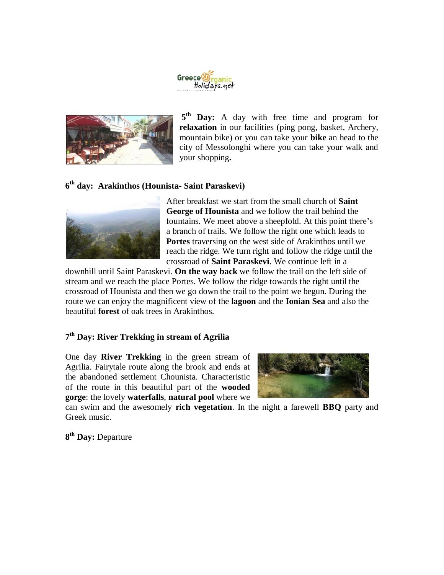



5<sup>th</sup> Day: A day with free time and program for **relaxation** in our facilities (ping pong, basket, Archery, mountain bike) or you can take your **bike** an head to the city of Messolonghi where you can take your walk and your shopping**.**

## **6 th day: Arakinthos (Hounista- Saint Paraskevi)**



After breakfast we start from the small church of **Saint George of Hounista** and we follow the trail behind the fountains. We meet above a sheepfold. At this point there's a branch of trails. We follow the right one which leads to **Portes** traversing on the west side of Arakinthos until we reach the ridge. We turn right and follow the ridge until the crossroad of **Saint Paraskevi**. We continue left in a

downhill until Saint Paraskevi. **On the way back** we follow the trail on the left side of stream and we reach the place Portes. We follow the ridge towards the right until the crossroad of Hounista and then we go down the trail to the point we begun. During the route we can enjoy the magnificent view of the **lagoon** and the **Ionian Sea** and also the beautiful **forest** of oak trees in Arakinthos.

#### **7 th Day: River Trekking in stream of Agrilia**

One day **River Trekking** in the green stream of Agrilia. Fairytale route along the brook and ends at the abandoned settlement Chounista. Characteristic of the route in this beautiful part of the **wooded gorge**: the lovely **waterfalls**, **natural pool** where we



can swim and the awesomely **rich vegetation**. In the night a farewell **BBQ** party and Greek music.

**8 th Day:** Departure